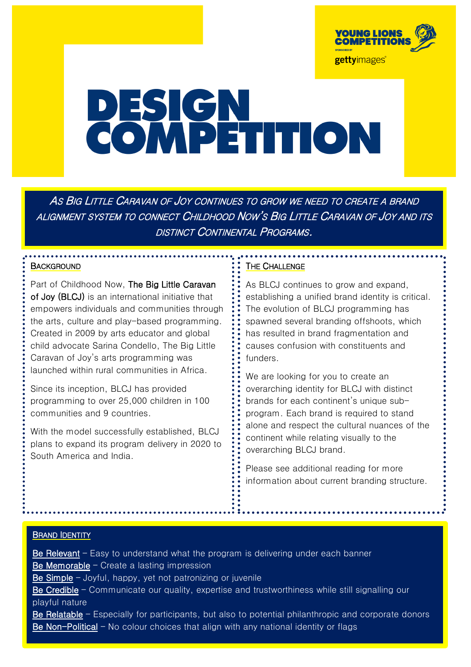

# **PESIGN<br>COMPETITION**

AS BIG LITTLE CARAVAN OF JOY CONTINUES TO GROW WE NEED TO CREATE A BRAND ALIGNMENT SYSTEM TO CONNECT CHILDHOOD NOW'S BIG LITTLE CARAVAN OF JOY AND ITS DISTINCT CONTINENTAL PROGRAMS.

### **BACKGROUND**

Part of Childhood Now, The Big Little Caravan of Joy (BLCJ) is an international initiative that empowers individuals and communities through the arts, culture and play-based programming. Created in 2009 by arts educator and global child advocate Sarina Condello, The Big Little Caravan of Joy's arts programming was launched within rural communities in Africa.

Since its inception, BLCJ has provided programming to over 25,000 children in 100 communities and 9 countries.

With the model successfully established, BLCJ plans to expand its program delivery in 2020 to South America and India.

### THE CHALLENGE

As BLCJ continues to grow and expand. establishing a unified brand identity is critical. The evolution of BLCJ programming has spawned several branding offshoots, which has resulted in brand fragmentation and causes confusion with constituents and funders.

We are looking for you to create an overarching identity for BLCJ with distinct brands for each continent's unique subprogram. Each brand is required to stand alone and respect the cultural nuances of the continent while relating visually to the overarching BLCJ brand.

Please see additional reading for more information about current branding structure.

### **BRAND IDENTITY**

Be Relevant – Easy to understand what the program is delivering under each banner Be Memorable – Create a lasting impression Be Simple – Joyful, happy, yet not patronizing or juvenile Be Credible – Communicate our quality, expertise and trustworthiness while still signalling our playful nature Be Relatable – Especially for participants, but also to potential philanthropic and corporate donors Be Non-Political – No colour choices that align with any national identity or flags